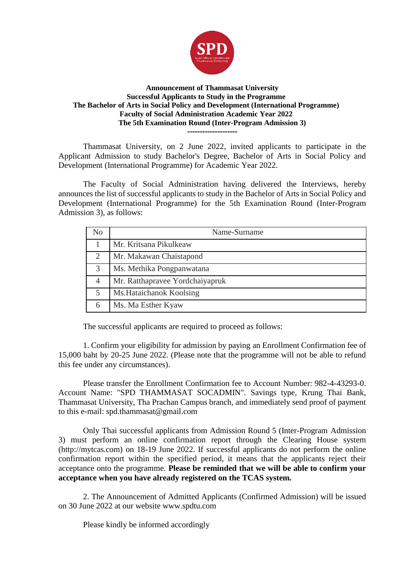

## **Announcement of Thammasat University Successful Applicants to Study in the Programme The Bachelor of Arts in Social Policy and Development (International Programme) Faculty of Social Administration Academic Year 2022 The 5th Examination Round (Inter-Program Admission 3) --------------------**

Thammasat University, on 2 June 2022, invited applicants to participate in the Applicant Admission to study Bachelor's Degree, Bachelor of Arts in Social Policy and Development (International Programme) for Academic Year 2022.

The Faculty of Social Administration having delivered the Interviews, hereby announces the list of successful applicants to study in the Bachelor of Arts in Social Policy and Development (International Programme) for the 5th Examination Round (Inter-Program Admission 3), as follows:

| No | Name-Surname                    |
|----|---------------------------------|
|    | Mr. Kritsana Pikulkeaw          |
| 2  | Mr. Makawan Chaistapond         |
| 3  | Ms. Methika Pongpanwatana       |
| 4  | Mr. Ratthapravee Yordchaiyapruk |
| 5  | Ms. Hataichanok Koolsing        |
| 6  | Ms. Ma Esther Kyaw              |

The successful applicants are required to proceed as follows:

1. Confirm your eligibility for admission by paying an Enrollment Confirmation fee of 15,000 baht by 20-25 June 2022. (Please note that the programme will not be able to refund this fee under any circumstances).

Please transfer the Enrollment Confirmation fee to Account Number: 982-4-43293-0. Account Name: "SPD THAMMASAT SOCADMIN". Savings type, Krung Thai Bank, Thammasat University, Tha Prachan Campus branch, and immediately send proof of payment to this e-mail: spd.thammasat@gmail.com

Only Thai successful applicants from Admission Round 5 (Inter-Program Admission 3) must perform an online confirmation report through the Clearing House system (http://mytcas.com) on 18-19 June 2022. If successful applicants do not perform the online confirmation report within the specified period, it means that the applicants reject their acceptance onto the programme. **Please be reminded that we will be able to confirm your acceptance when you have already registered on the TCAS system.**

2. The Announcement of Admitted Applicants (Confirmed Admission) will be issued on 30 June 2022 at our website www.spdtu.com

Please kindly be informed accordingly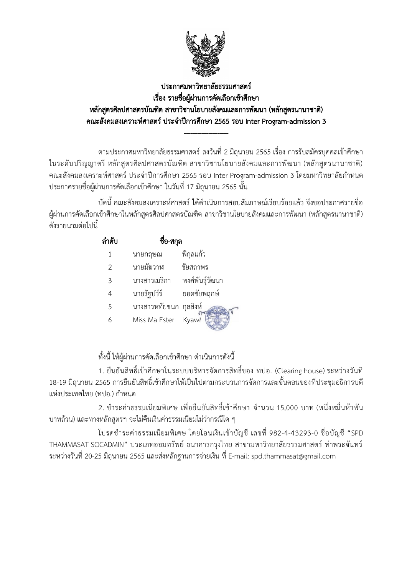

## ประกาศมหาวิทยาลัยธรรมศาสตร์ เรื่อง รายชื่อผู้ผ่านการคัดเลือกเข้าศึกษา หลักสูตรศิลปศาสตรบัณฑิต สาขาวิชานโยบายสังคมและการพัฒนา (หลักสูตรนานาชาติ) คณะสังคมสงเคราะห์ศาสตร์ ประจำปีการศึกษา 2565 รอบ Inter Program-admission 3

--------------------

้ตามประกาศมหาวิทยาลัยธรรมศาสตร์ ลงวันที่ 2 มิถุนายน 2565 เรื่อง การรับสมัครบุคคลเข้าศึกษา ในระดับปริญญาตรี หลักสูตรศิลปศาสตรบัณฑิต สาขาวิชานโยบายสังคมและการพัฒนา (หลักสูตรนานาชาติ) ้<br>คณะสังคมสงเคราะห์ศาสตร์ ประจำปีการศึกษา 2565 รอบ Inter Program-admission 3 โดยมหาวิทยาลัยกำหนด ้ ประกาศรายชื่อผู้ผ่านการคัดเลือกเข้าศึกษา ในวันที่ 17 มิถุนายน 2565 นั้น

้ บัดนี้ คณะสังคมสงเคราะห์ศาสตร์ ได้ดำเนินการสอบสัมภาษณ์เรียบร้อยแล้ว จึงขอประกาศรายชื่อ ผู้ผ่านการคัดเลือกเข้าศึกษาในหลักสูตรศิลปศาสตรบัณฑิต สาขาวิชานโยบายสังคมและการพัฒนา (หลักสูตรนานาชาติ) ้ดังรายนามต่อไปนี้

| ลำดับ | ชื่อ-สกุล              |                   |
|-------|------------------------|-------------------|
| 1     | นายกฤษณ                | พิกุลแก้ว         |
| 2     | นายมัฆวาฬ              | ชัยสถาพร          |
| 3     | นางสาวเมธิกา           | พงศ์พันธุ์วัฒนา   |
| 4     | นายรัฐปวีร์            | ยอดชัยพฤกษ์       |
| 5     | นางสาวหทัยชนก กุลสิงห์ |                   |
| 6     | Miss Ma Ester          | Kyaw <sup>l</sup> |

์ทั้งนี้ ให้ผ้ผ่านการคัดเลือกเข้าศึกษา ดำเนินการดังนี้

1. ยืนยันสิทธิ์เข้าศึกษาในระบบบริหารจัดการสิทธิ์ของ ทปอ. (Clearing house) ระหว่างวันที่ 18-19 มิถุนายน 2565 การยืนยันสิทธิ์เข้าศึกษาให้เป็นไปตามกระบวนการจัดการและขั้นตอนของที่ประชุมอธิการบดี แห่งประเทศไทย (ทปอ.) กำหนด

2. ชำระค่าธรรมเนียมพิเศษ เพื่อยืนยันสิทธิ์เข้าศึกษา จำนวน 15,000 บาท (หนึ่งหมื่นห้าพัน บาทถ้วน) และทางหลักสูตรฯ จะไม่คืนเงินค่าธรรมเนียมไม่ว่ากรณีใด ๆ

โปรดชำระค่าธรรมเนียมพิเศษ โดยโอนเงินเข้าบัญชี เลขที่ 982-4-43293-0 ชื่อบัญชี "SPD THAMMASAT SOCADMIN" ประเภทออมทรัพย์ ธนาคารกรุงไทย สาขามหาวิทยาลัยธรรมศาสตร์ ท่าพระจันทร์ ระหว่างวันที่ 20-25 มิถุนายน 2565 และส่งหลักฐานการจ่ายเงิน ที่ E-mail: spd.thammasat@gmail.com